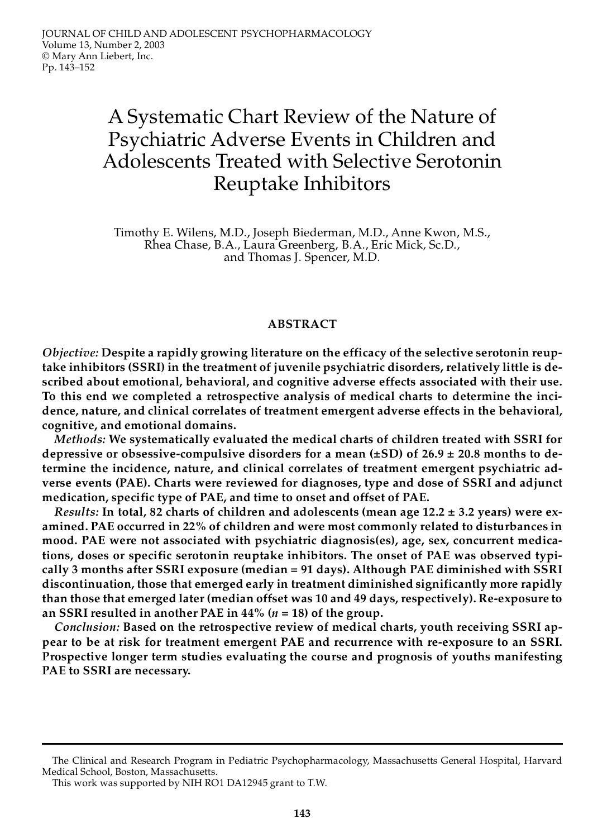# A Systematic Chart Review of the Nature of Psychiatric Adverse Events in Children and Adolescents Treated with Selective Serotonin Reuptake Inhibitors

Timothy E. Wilens, M.D., Joseph Biederman, M.D., Anne Kwon, M.S., Rhea Chase, B.A., Laura Greenberg, B.A., Eric Mick, Sc.D., and Thomas J. Spencer, M.D.

## **ABSTRACT**

*Objective:* **Despite a rapidly growing literature on the efficacy of the selective serotonin reuptake inhibitors (SSRI) in the treatment of juvenile psychiatric disorders, relatively little is described about emotional, behavioral, and cognitive adverse effects associated with their use. To this end we completed a retrospective analysis of medical charts to determine the incidence, nature, and clinical correlates of treatment emergent adverse effects in the behavioral, cognitive, and emotional domains.**

*Methods:* **We systematically evaluated the medical charts of children treated with SSRI for depressive or obsessive-compulsive disorders for a mean (±SD) of 26.9 ± 20.8 months to determine the incidence, nature, and clinical correlates of treatment emergent psychiatric adverse events (PAE). Charts were reviewed for diagnoses, type and dose of SSRI and adjunct medication, specific type of PAE, and time to onset and offset of PAE.**

*Results:* **In total, 82 charts of children and adolescents (mean age 12.2 ± 3.2 years) were examined. PAE occurred in 22% of children and were most commonly related to disturbances in mood. PAE were not associated with psychiatric diagnosis(es), age, sex, concurrent medications, doses or specific serotonin reuptake inhibitors. The onset of PAE was observed typically 3 months after SSRI exposure (median = 91 days). Although PAE diminished with SSRI discontinuation, those that emerged early in treatment diminished significantly more rapidly than those that emerged later (median offset was 10 and 49 days, respectively). Re-exposure to an SSRI resulted in another PAE in 44% (***n* **= 18) of the group.**

*Conclusion:* **Based on the retrospective review of medical charts, youth receiving SSRI appear to be at risk for treatment emergent PAE and recurrence with re-exposure to an SSRI. Prospective longer term studies evaluating the course and prognosis of youths manifesting PAE to SSRI are necessary.**

The Clinical and Research Program in Pediatric Psychopharmacology, Massachusetts General Hospital, Harvard Medical School, Boston, Massachusetts.

This work was supported by NIH RO1 DA12945 grant to T.W.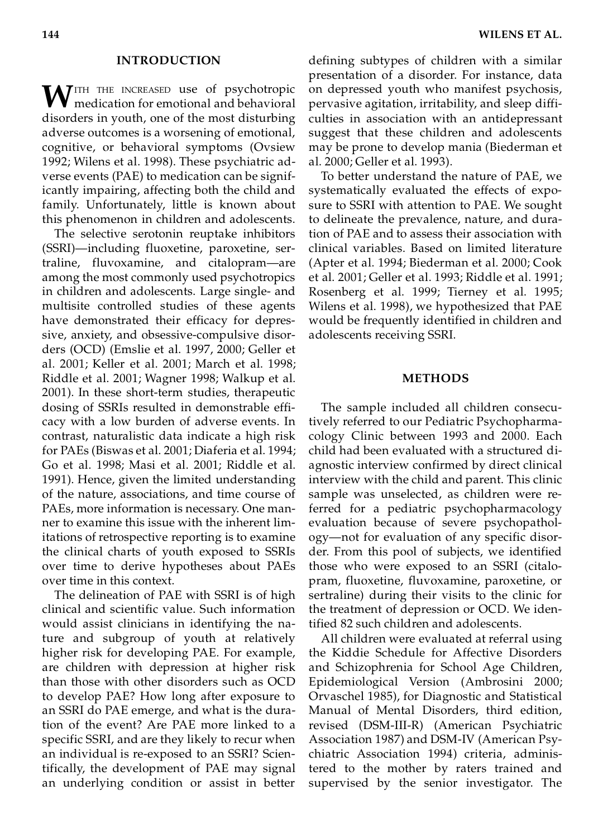### **INTRODUCTION**

WITH THE INCREASED use of psychotropic of medication for emotional and behavioral p disorders in youth, one of the most disturbing adverse outcomes is a worsening of emotional, cognitive, or behavioral symptoms (Ovsiew 1992; Wilens et al. 1998). These psychiatric adverse events (PAE) to medication can be significantly impairing, affecting both the child and family. Unfortunately, little is known about this phenomenon in children and adolescents.

The selective serotonin reuptake inhibitors (SSRI)—including fluoxetine, paroxetine, sertraline, fluvoxamine, and citalopram—are among the most commonly used psychotropics in children and adolescents. Large single- and multisite controlled studies of these agents have demonstrated their efficacy for depressive, anxiety, and obsessive-compulsive disorders (OCD) (Emslie et al. 1997, 2000; Geller et al. 2001; Keller et al. 2001; March et al. 1998; Riddle et al. 2001; Wagner 1998; Walkup et al. 2001). In these short-term studies, therapeutic dosing of SSRIs resulted in demonstrable efficacy with a low burden of adverse events. In contrast, naturalistic data indicate a high risk for PAEs (Biswas et al. 2001; Diaferia et al. 1994; Go et al. 1998; Masi et al. 2001; Riddle et al. 1991). Hence, given the limited understanding of the nature, associations, and time course of PAEs, more information is necessary. One manner to examine this issue with the inherent limitations of retrospective reporting is to examine the clinical charts of youth exposed to SSRIs over time to derive hypotheses about PAEs over time in this context.

The delineation of PAE with SSRI is of high clinical and scientific value. Such information would assist clinicians in identifying the nature and subgroup of youth at relatively higher risk for developing PAE. For example, are children with depression at higher risk than those with other disorders such as OCD to develop PAE? How long after exposure to an SSRI do PAE emerge, and what is the duration of the event? Are PAE more linked to a specific SSRI, and are they likely to recur when an individual is re-exposed to an SSRI? Scientifically, the development of PAE may signal an underlying condition or assist in better defining subtypes of children with a similar presentation of a disorder. For instance, data on depressed youth who manifest psychosis, pervasive agitation, irritability, and sleep difficulties in association with an antidepressant suggest that these children and adolescents may be prone to develop mania (Biederman et al. 2000; Geller et al. 1993).

To better understand the nature of PAE, we systematically evaluated the effects of exposure to SSRI with attention to PAE. We sought to delineate the prevalence, nature, and duration of PAE and to assess their association with clinical variables. Based on limited literature (Apter et al. 1994; Biederman et al. 2000; Cook et al. 2001; Geller et al. 1993; Riddle et al. 1991; Rosenberg et al. 1999; Tierney et al. 1995; Wilens et al. 1998), we hypothesized that PAE would be frequently identified in children and adolescents receiving SSRI.

## **METHODS**

The sample included all children consecutively referred to our Pediatric Psychopharmacology Clinic between 1993 and 2000. Each child had been evaluated with a structured diagnostic interview confirmed by direct clinical interview with the child and parent. This clinic sample was unselected, as children were referred for a pediatric psychopharmacology evaluation because of severe psychopathology—not for evaluation of any specific disorder. From this pool of subjects, we identified those who were exposed to an SSRI (citalopram, fluoxetine, fluvoxamine, paroxetine, or sertraline) during their visits to the clinic for the treatment of depression or OCD. We identified 82 such children and adolescents.

All children were evaluated at referral using the Kiddie Schedule for Affective Disorders and Schizophrenia for School Age Children, Epidemiological Version (Ambrosini 2000; Orvaschel 1985), for Diagnostic and Statistical Manual of Mental Disorders, third edition, revised (DSM-III-R) (American Psychiatric Association 1987) and DSM-IV (American Psychiatric Association 1994) criteria, administered to the mother by raters trained and supervised by the senior investigator. The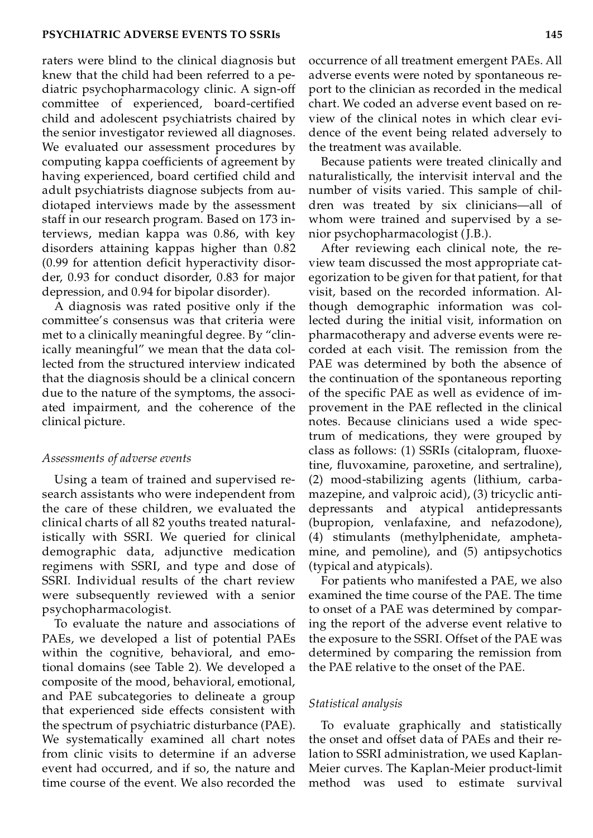raters were blind to the clinical diagnosis but knew that the child had been referred to a pediatric psychopharmacology clinic. A sign-off committee of experienced, board-certified child and adolescent psychiatrists chaired by the senior investigator reviewed all diagnoses. We evaluated our assessment procedures by computing kappa coefficients of agreement by having experienced, board certified child and adult psychiatrists diagnose subjects from audiotaped interviews made by the assessment staff in our research program. Based on 173 interviews, median kappa was 0.86, with key disorders attaining kappas higher than 0.82 (0.99 for attention deficit hyperactivity disorder, 0.93 for conduct disorder, 0.83 for major depression, and 0.94 for bipolar disorder).

A diagnosis was rated positive only if the committee's consensus was that criteria were met to a clinically meaningful degree. By "clinically meaningful" we mean that the data collected from the structured interview indicated that the diagnosis should be a clinical concern due to the nature of the symptoms, the associated impairment, and the coherence of the clinical picture.

## *Assessments of adverse events*

Using a team of trained and supervised research assistants who were independent from the care of these children, we evaluated the clinical charts of all 82 youths treated naturalistically with SSRI. We queried for clinical demographic data, adjunctive medication regimens with SSRI, and type and dose of SSRI. Individual results of the chart review were subsequently reviewed with a senior psychopharmacologist.

To evaluate the nature and associations of PAEs, we developed a list of potential PAEs within the cognitive, behavioral, and emotional domains (see Table 2). We developed a composite of the mood, behavioral, emotional, and PAE subcategories to delineate a group that experienced side effects consistent with the spectrum of psychiatric disturbance (PAE). We systematically examined all chart notes from clinic visits to determine if an adverse event had occurred, and if so, the nature and time course of the event. We also recorded the

occurrence of all treatment emergent PAEs. All adverse events were noted by spontaneous report to the clinician as recorded in the medical chart. We coded an adverse event based on review of the clinical notes in which clear evidence of the event being related adversely to the treatment was available.

Because patients were treated clinically and naturalistically, the intervisit interval and the number of visits varied. This sample of children was treated by six clinicians—all of whom were trained and supervised by a senior psychopharmacologist (J.B.).

After reviewing each clinical note, the review team discussed the most appropriate categorization to be given for that patient, for that visit, based on the recorded information. Although demographic information was collected during the initial visit, information on pharmacotherapy and adverse events were recorded at each visit. The remission from the PAE was determined by both the absence of the continuation of the spontaneous reporting of the specific PAE as well as evidence of improvement in the PAE reflected in the clinical notes. Because clinicians used a wide spectrum of medications, they were grouped by class as follows: (1) SSRIs (citalopram, fluoxetine, fluvoxamine, paroxetine, and sertraline), (2) mood-stabilizing agents (lithium, carbamazepine, and valproic acid), (3) tricyclic antidepressants and atypical antidepressants (bupropion, venlafaxine, and nefazodone), (4) stimulants (methylphenidate, amphetamine, and pemoline), and (5) antipsychotics (typical and atypicals).

For patients who manifested a PAE, we also examined the time course of the PAE. The time to onset of a PAE was determined by comparing the report of the adverse event relative to the exposure to the SSRI. Offset of the PAE was determined by comparing the remission from the PAE relative to the onset of the PAE.

### *Statistical analysis*

To evaluate graphically and statistically the onset and offset data of PAEs and their relation to SSRI administration, we used Kaplan-Meier curves. The Kaplan-Meier product-limit method was used to estimate survival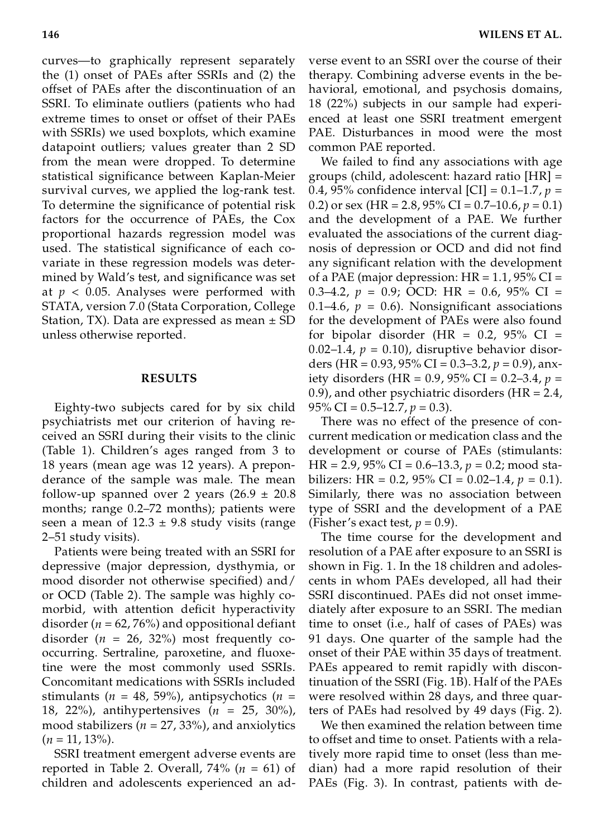curves—to graphically represent separately the (1) onset of PAEs after SSRIs and (2) the offset of PAEs after the discontinuation of an SSRI. To eliminate outliers (patients who had extreme times to onset or offset of their PAEs with SSRIs) we used boxplots, which examine datapoint outliers; values greater than 2 SD from the mean were dropped. To determine statistical significance between Kaplan-Meier survival curves, we applied the log-rank test. To determine the significance of potential risk factors for the occurrence of PAEs, the Cox proportional hazards regression model was used. The statistical significance of each covariate in these regression models was determined by Wald's test, and significance was set at  $p < 0.05$ . Analyses were performed with STATA, version 7.0 (Stata Corporation, College Station, TX). Data are expressed as mean  $\pm$  SD unless otherwise reported.

## **RESULTS**

Eighty-two subjects cared for by six child psychiatrists met our criterion of having received an SSRI during their visits to the clinic (Table 1). Children's ages ranged from 3 to 18 years (mean age was 12 years). A preponderance of the sample was male. The mean follow-up spanned over 2 years  $(26.9 \pm 20.8)$ months; range 0.2–72 months); patients were seen a mean of  $12.3 \pm 9.8$  study visits (range 2–51 study visits).

Patients were being treated with an SSRI for depressive (major depression, dysthymia, or mood disorder not otherwise specified) and/ or OCD (Table 2). The sample was highly comorbid, with attention deficit hyperactivity disorder ( $n = 62, 76\%$ ) and oppositional defiant disorder ( $n = 26$ , 32%) most frequently cooccurring. Sertraline, paroxetine, and fluoxetine were the most commonly used SSRIs. Concomitant medications with SSRIs included stimulants ( $n = 48, 59\%$ ), antipsychotics ( $n =$ 18, 22%), antihypertensives (*n* = 25, 30%), mood stabilizers ( $n = 27, 33\%$ ), and anxiolytics  $(n = 11, 13\%)$ .

SSRI treatment emergent adverse events are reported in Table 2. Overall,  $74\%$  ( $n = 61$ ) of children and adolescents experienced an adverse event to an SSRI over the course of their therapy. Combining adverse events in the behavioral, emotional, and psychosis domains, 18 (22%) subjects in our sample had experienced at least one SSRI treatment emergent PAE. Disturbances in mood were the most common PAE reported.

We failed to find any associations with age groups (child, adolescent: hazard ratio [HR] = 0.4, 95% confidence interval [CI] =  $0.1-1.7$ ,  $p =$ 0.2) or sex (HR =  $2.8$ ,  $95\%$  CI = 0.7–10.6,  $p = 0.1$ ) and the development of a PAE. We further evaluated the associations of the current diagnosis of depression or OCD and did not find any significant relation with the development of a PAE (major depression:  $HR = 1.1$ , 95% CI = 0.3–4.2,  $p = 0.9$ ; OCD: HR = 0.6, 95% CI = 0.1–4.6,  $p = 0.6$ ). Nonsignificant associations for the development of PAEs were also found for bipolar disorder (HR =  $0.2$ ,  $95\%$  CI = 0.02–1.4,  $p = 0.10$ ), disruptive behavior disorders (HR = 0.93, 95% CI = 0.3–3.2, *p* = 0.9), anxiety disorders (HR = 0.9, 95% CI = 0.2–3.4, *p* = 0.9), and other psychiatric disorders  $(HR = 2.4,$ 95% CI =  $0.5$ –12.7,  $p = 0.3$ ).

There was no effect of the presence of concurrent medication or medication class and the development or course of PAEs (stimulants: HR = 2.9, 95% CI = 0.6–13.3, *p* = 0.2; mood stabilizers: HR =  $0.2$ ,  $95\%$  CI =  $0.02-1.4$ ,  $p = 0.1$ ). Similarly, there was no association between type of SSRI and the development of a PAE (Fisher's exact test,  $p = 0.9$ ).

The time course for the development and resolution of a PAE after exposure to an SSRI is shown in Fig. 1. In the 18 children and adolescents in whom PAEs developed, all had their SSRI discontinued. PAEs did not onset immediately after exposure to an SSRI. The median time to onset (i.e., half of cases of PAEs) was 91 days. One quarter of the sample had the onset of their PAE within 35 days of treatment. PAEs appeared to remit rapidly with discontinuation of the SSRI (Fig. 1B). Half of the PAEs were resolved within 28 days, and three quarters of PAEs had resolved by 49 days (Fig. 2).

We then examined the relation between time to offset and time to onset. Patients with a relatively more rapid time to onset (less than median) had a more rapid resolution of their PAEs (Fig. 3). In contrast, patients with de-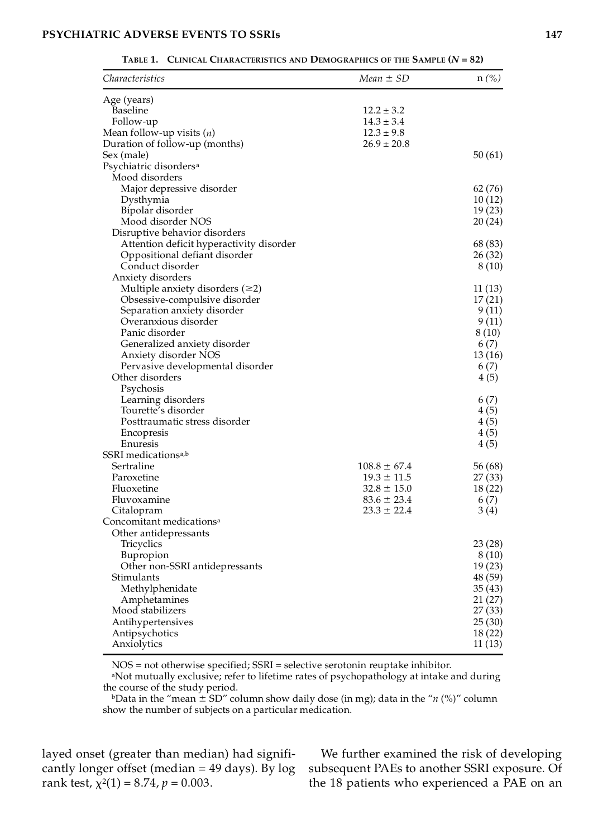#### **PSYCHIATRIC ADVERSE EVENTS TO SSRIs 147**

| Characteristics                          | $Mean \pm SD$    | $n(\%)$ |
|------------------------------------------|------------------|---------|
| Age (years)                              |                  |         |
| <b>Baseline</b>                          | $12.2 \pm 3.2$   |         |
| Follow-up                                | $14.3 \pm 3.4$   |         |
| Mean follow-up visits $(n)$              | $12.3 \pm 9.8$   |         |
| Duration of follow-up (months)           | $26.9 \pm 20.8$  |         |
| Sex (male)                               |                  | 50(61)  |
| Psychiatric disorders <sup>a</sup>       |                  |         |
| Mood disorders                           |                  |         |
| Major depressive disorder                |                  | 62(76)  |
| Dysthymia                                |                  | 10(12)  |
| Bipolar disorder                         |                  | 19(23)  |
| Mood disorder NOS                        |                  | 20(24)  |
| Disruptive behavior disorders            |                  |         |
| Attention deficit hyperactivity disorder |                  | 68 (83) |
| Oppositional defiant disorder            |                  | 26 (32) |
| Conduct disorder                         |                  | 8(10)   |
| Anxiety disorders                        |                  |         |
| Multiple anxiety disorders $(\geq 2)$    |                  | 11(13)  |
| Obsessive-compulsive disorder            |                  | 17(21)  |
| Separation anxiety disorder              |                  | 9(11)   |
| Overanxious disorder                     |                  | 9(11)   |
| Panic disorder                           |                  | 8(10)   |
| Generalized anxiety disorder             |                  | 6(7)    |
| Anxiety disorder NOS                     |                  | 13(16)  |
| Pervasive developmental disorder         |                  | 6(7)    |
| Other disorders                          |                  | 4(5)    |
| Psychosis                                |                  |         |
| Learning disorders                       |                  | 6(7)    |
| Tourette's disorder                      |                  | 4(5)    |
| Posttraumatic stress disorder            |                  | 4(5)    |
| Encopresis                               |                  | 4(5)    |
| Enuresis                                 |                  | 4(5)    |
| SSRI medications <sup>a,b</sup>          |                  |         |
| Sertraline                               | $108.8 \pm 67.4$ | 56 (68) |
| Paroxetine                               | $19.3 \pm 11.5$  | 27(33)  |
| Fluoxetine                               | $32.8 \pm 15.0$  | 18(22)  |
| Fluvoxamine                              | $83.6 \pm 23.4$  | 6(7)    |
| Citalopram                               | $23.3 \pm 22.4$  | 3(4)    |
| Concomitant medications <sup>a</sup>     |                  |         |
| Other antidepressants                    |                  |         |
| Tricyclics                               |                  | 23 (28) |
| Bupropion                                |                  | 8(10)   |
| Other non-SSRI antidepressants           |                  | 19(23)  |
| Stimulants                               |                  | 48 (59) |
| Methylphenidate                          |                  | 35(43)  |
| Amphetamines                             |                  | 21(27)  |
| Mood stabilizers                         |                  | 27(33)  |
| Antihypertensives                        |                  | 25(30)  |
| Antipsychotics                           |                  | 18(22)  |
| Anxiolytics                              |                  | 11(13)  |

**TABLE 1. CLINICAL CHARACTERISTICS AND DEMOGRAPHICS OF THE SAMPLE (***N* **= 82)**

NOS = not otherwise specified; SSRI = selective serotonin reuptake inhibitor.

aNot mutually exclusive; refer to lifetime rates of psychopathology at intake and during the course of the study period.

<sup>b</sup>Data in the "mean  $\pm$  SD" column show daily dose (in mg); data in the "*n* (%)" column show the number of subjects on a particular medication.

layed onset (greater than median) had significantly longer offset (median = 49 days). By log rank test,  $\chi^2(1) = 8.74$ ,  $p = 0.003$ .

We further examined the risk of developing subsequent PAEs to another SSRI exposure. Of the 18 patients who experienced a PAE on an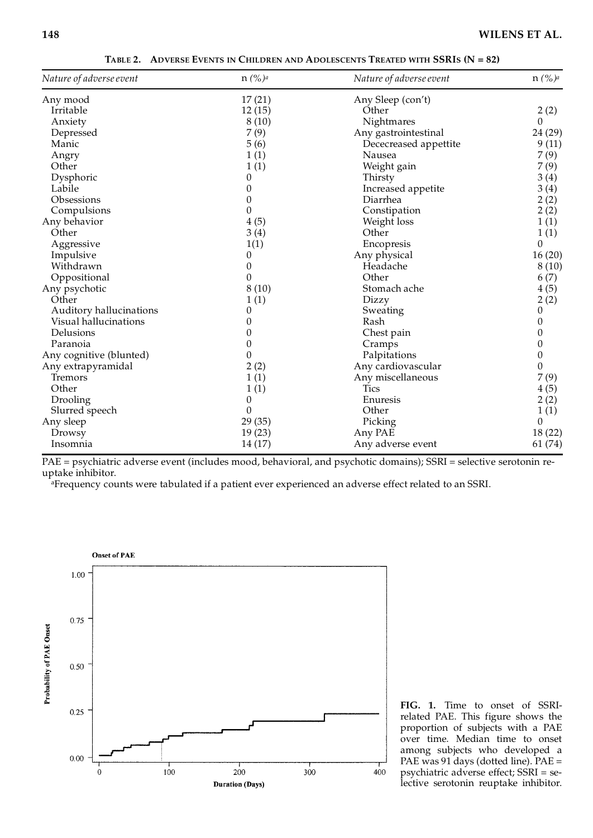| Nature of adverse event | n (%) <sup>a</sup> | Nature of adverse event | n (%) <sup>a</sup> |
|-------------------------|--------------------|-------------------------|--------------------|
| Any mood                | 17(21)             | Any Sleep (con't)       |                    |
| Irritable               | 12(15)             | Other                   | 2(2)               |
| Anxiety                 | 8(10)              | Nightmares              | $\mathbf{0}$       |
| Depressed               | 7(9)               | Any gastrointestinal    | 24 (29)            |
| Manic                   | 5(6)               | Dececreased appettite   | 9(11)              |
| Angry                   | 1(1)               | Nausea                  | 7(9)               |
| Other                   | 1(1)               | Weight gain             | 7(9)               |
| Dysphoric               | 0                  | Thirsty                 | 3(4)               |
| Labile                  | $\theta$           | Increased appetite      | 3(4)               |
| Obsessions              | $\theta$           | Diarrhea                | 2(2)               |
| Compulsions             | $\theta$           | Constipation            | 2(2)               |
| Any behavior            | 4(5)               | Weight loss             | 1(1)               |
| Other                   | 3(4)               | Other                   | 1(1)               |
| Aggressive              | 1(1)               | Encopresis              | $\mathbf{0}$       |
| Impulsive               | $\theta$           | Any physical            | 16(20)             |
| Withdrawn               | 0                  | Headache                | 8(10)              |
| Oppositional            | $\theta$           | Other                   | 6(7)               |
| Any psychotic           | 8(10)              | Stomach ache            | 4(5)               |
| Other                   | 1(1)               | Dizzy                   | 2(2)               |
| Auditory hallucinations | $\theta$           | Sweating                | 0                  |
| Visual hallucinations   | 0                  | Rash                    | $\theta$           |
| Delusions               | 0                  | Chest pain              | 0                  |
| Paranoia                | $\theta$           | Cramps                  | $\boldsymbol{0}$   |
| Any cognitive (blunted) | $\theta$           | Palpitations            | $\boldsymbol{0}$   |
| Any extrapyramidal      | 2(2)               | Any cardiovascular      | $\mathbf{0}$       |
| Tremors                 | 1(1)               | Any miscellaneous       | 7(9)               |
| Other                   | 1(1)               | <b>Tics</b>             | 4(5)               |
| Drooling                | $\theta$           | Enuresis                | 2(2)               |
| Slurred speech          | $\theta$           | Other                   | 1(1)               |
| Any sleep               | 29(35)             | Picking                 | $\theta$           |
| Drowsy                  | 19(23)             | Any PAE                 | 18(22)             |
| Insomnia                | 14 (17)            | Any adverse event       | 61 (74)            |

**TABLE 2. ADVERSE EVENTS IN CHILDREN AND ADOLESCENTS TREATED WITH SSRIS (N = 82)**

PAE = psychiatric adverse event (includes mood, behavioral, and psychotic domains); SSRI = selective serotonin reuptake inhibitor.

aFrequency counts were tabulated if a patient ever experienced an adverse effect related to an SSRI.



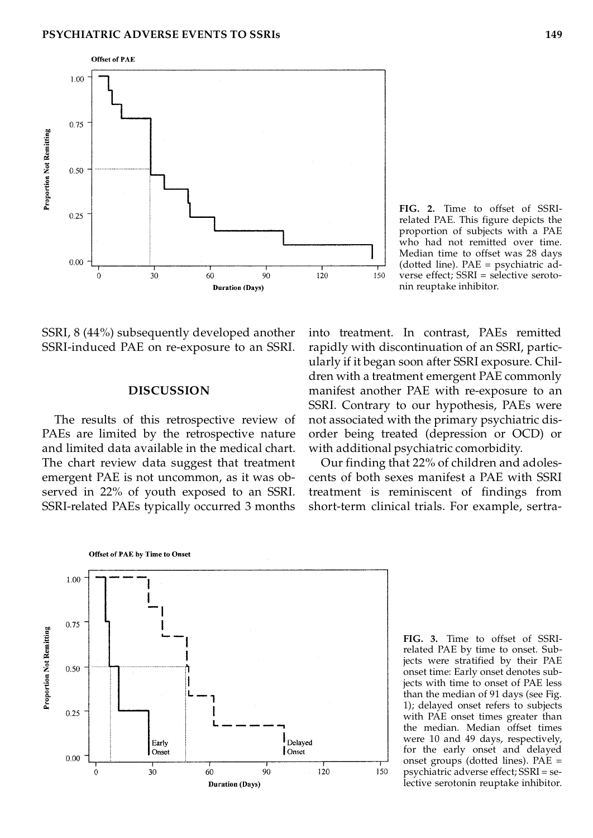

SSRI, 8 (44%) subsequently developed another SSRI-induced PAE on re-exposure to an SSRI.

### **DISCUSSION**

The results of this retrospective review of PAEs are limited by the retrospective nature and limited data available in the medical chart. The chart review data suggest that treatment emergent PAE is not uncommon, as it was observed in 22% of youth exposed to an SSRI. SSRI-related PAEs typically occurred 3 months



into treatment. In contrast, PAEs remitted rapidly with discontinuation of an SSRI, particularly if it began soon after SSRI exposure. Children with a treatment emergent PAE commonly manifest another PAE with re-exposure to an SSRI. Contrary to our hypothesis, PAEs were not associated with the primary psychiatric disorder being treated (depression or OCD) or with additional psychiatric comorbidity.

Our finding that 22% of children and adolescents of both sexes manifest a PAE with SSRI treatment is reminiscent of findings from short-term clinical trials. For example, sertra-



**FIG. 3.** Time to offset of SSRIrelated PAE by time to onset. Subjects were stratified by their PAE onset time: Early onset denotes subjects with time to onset of PAE less than the median of 91 days (see Fig. 1); delayed onset refers to subjects with PAE onset times greater than the median. Median offset times were 10 and 49 days, respectively, for the early onset and delayed onset groups (dotted lines). PAE = psychiatric adverse effect; SSRI = selective serotonin reuptake inhibitor.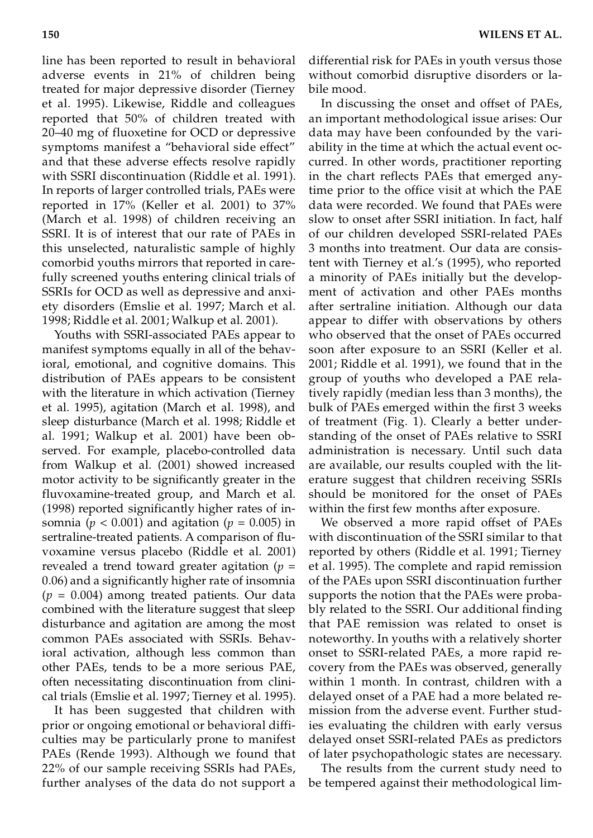line has been reported to result in behavioral adverse events in 21% of children being treated for major depressive disorder (Tierney et al. 1995). Likewise, Riddle and colleagues reported that 50% of children treated with 20–40 mg of fluoxetine for OCD or depressive symptoms manifest a "behavioral side effect" and that these adverse effects resolve rapidly with SSRI discontinuation (Riddle et al. 1991). In reports of larger controlled trials, PAEs were reported in 17% (Keller et al. 2001) to 37% (March et al. 1998) of children receiving an SSRI. It is of interest that our rate of PAEs in this unselected, naturalistic sample of highly comorbid youths mirrors that reported in carefully screened youths entering clinical trials of SSRIs for OCD as well as depressive and anxiety disorders (Emslie et al. 1997; March et al. 1998; Riddle et al. 2001; Walkup et al. 2001).

Youths with SSRI-associated PAEs appear to manifest symptoms equally in all of the behavioral, emotional, and cognitive domains. This distribution of PAEs appears to be consistent with the literature in which activation (Tierney et al. 1995), agitation (March et al. 1998), and sleep disturbance (March et al. 1998; Riddle et al. 1991; Walkup et al. 2001) have been observed. For example, placebo-controlled data from Walkup et al. (2001) showed increased motor activity to be significantly greater in the fluvoxamine-treated group, and March et al. (1998) reported significantly higher rates of insomnia ( $p < 0.001$ ) and agitation ( $p = 0.005$ ) in sertraline-treated patients. A comparison of fluvoxamine versus placebo (Riddle et al. 2001) revealed a trend toward greater agitation  $(p =$ 0.06) and a significantly higher rate of insomnia (*p* = 0.004) among treated patients. Our data combined with the literature suggest that sleep disturbance and agitation are among the most common PAEs associated with SSRIs. Behavioral activation, although less common than other PAEs, tends to be a more serious PAE, often necessitating discontinuation from clinical trials (Emslie et al. 1997; Tierney et al. 1995).

It has been suggested that children with prior or ongoing emotional or behavioral difficulties may be particularly prone to manifest PAEs (Rende 1993). Although we found that 22% of our sample receiving SSRIs had PAEs, further analyses of the data do not support a differential risk for PAEs in youth versus those without comorbid disruptive disorders or labile mood.

In discussing the onset and offset of PAEs, an important methodological issue arises: Our data may have been confounded by the variability in the time at which the actual event occurred. In other words, practitioner reporting in the chart reflects PAEs that emerged anytime prior to the office visit at which the PAE data were recorded. We found that PAEs were slow to onset after SSRI initiation. In fact, half of our children developed SSRI-related PAEs 3 months into treatment. Our data are consistent with Tierney et al.'s (1995), who reported a minority of PAEs initially but the development of activation and other PAEs months after sertraline initiation. Although our data appear to differ with observations by others who observed that the onset of PAEs occurred soon after exposure to an SSRI (Keller et al. 2001; Riddle et al. 1991), we found that in the group of youths who developed a PAE relatively rapidly (median less than 3 months), the bulk of PAEs emerged within the first 3 weeks of treatment (Fig. 1). Clearly a better understanding of the onset of PAEs relative to SSRI administration is necessary. Until such data are available, our results coupled with the literature suggest that children receiving SSRIs should be monitored for the onset of PAEs within the first few months after exposure.

We observed a more rapid offset of PAEs with discontinuation of the SSRI similar to that reported by others (Riddle et al. 1991; Tierney et al. 1995). The complete and rapid remission of the PAEs upon SSRI discontinuation further supports the notion that the PAEs were probably related to the SSRI. Our additional finding that PAE remission was related to onset is noteworthy. In youths with a relatively shorter onset to SSRI-related PAEs, a more rapid recovery from the PAEs was observed, generally within 1 month. In contrast, children with a delayed onset of a PAE had a more belated remission from the adverse event. Further studies evaluating the children with early versus delayed onset SSRI-related PAEs as predictors of later psychopathologic states are necessary.

The results from the current study need to be tempered against their methodological lim-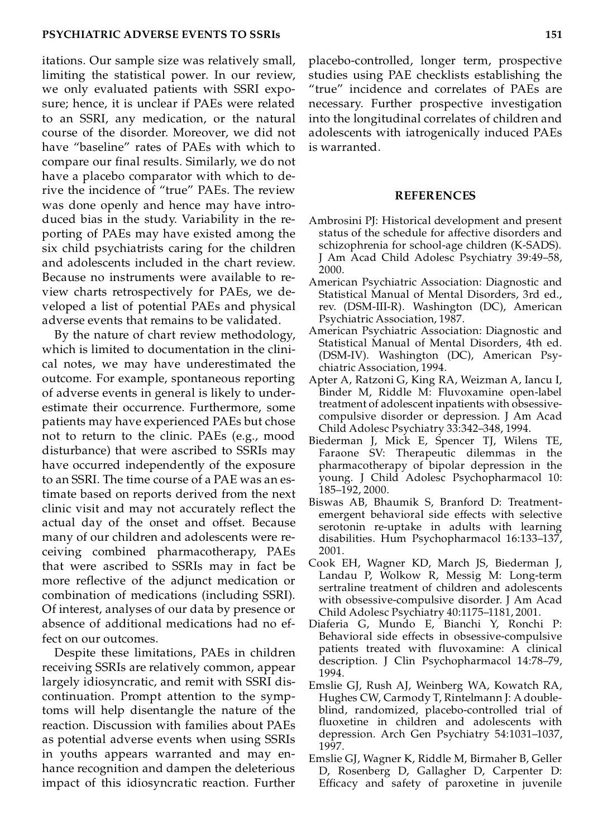#### **PSYCHIATRIC ADVERSE EVENTS TO SSRIs 151**

itations. Our sample size was relatively small, limiting the statistical power. In our review, we only evaluated patients with SSRI exposure; hence, it is unclear if PAEs were related to an SSRI, any medication, or the natural course of the disorder. Moreover, we did not have "baseline" rates of PAEs with which to compare our final results. Similarly, we do not have a placebo comparator with which to derive the incidence of "true" PAEs. The review was done openly and hence may have introduced bias in the study. Variability in the reporting of PAEs may have existed among the six child psychiatrists caring for the children and adolescents included in the chart review. Because no instruments were available to review charts retrospectively for PAEs, we developed a list of potential PAEs and physical adverse events that remains to be validated.

By the nature of chart review methodology, which is limited to documentation in the clinical notes, we may have underestimated the outcome. For example, spontaneous reporting of adverse events in general is likely to underestimate their occurrence. Furthermore, some patients may have experienced PAEs but chose not to return to the clinic. PAEs (e.g., mood disturbance) that were ascribed to SSRIs may have occurred independently of the exposure to an SSRI. The time course of a PAE was an estimate based on reports derived from the next clinic visit and may not accurately reflect the actual day of the onset and offset. Because many of our children and adolescents were receiving combined pharmacotherapy, PAEs that were ascribed to SSRIs may in fact be more reflective of the adjunct medication or combination of medications (including SSRI). Of interest, analyses of our data by presence or absence of additional medications had no effect on our outcomes.

Despite these limitations, PAEs in children receiving SSRIs are relatively common, appear largely idiosyncratic, and remit with SSRI discontinuation. Prompt attention to the symptoms will help disentangle the nature of the reaction. Discussion with families about PAEs as potential adverse events when using SSRIs in youths appears warranted and may enhance recognition and dampen the deleterious impact of this idiosyncratic reaction. Further placebo-controlled, longer term, prospective studies using PAE checklists establishing the "true" incidence and correlates of PAEs are necessary. Further prospective investigation into the longitudinal correlates of children and adolescents with iatrogenically induced PAEs is warranted.

## **REFERENCES**

- Ambrosini PJ: Historical development and present status of the schedule for affective disorders and schizophrenia for school-age children (K-SADS). J Am Acad Child Adolesc Psychiatry 39:49–58, 2000.
- American Psychiatric Association: Diagnostic and Statistical Manual of Mental Disorders, 3rd ed., rev. (DSM-III-R). Washington (DC), American Psychiatric Association, 1987.
- American Psychiatric Association: Diagnostic and Statistical Manual of Mental Disorders, 4th ed. (DSM-IV). Washington (DC), American Psychiatric Association, 1994.
- Apter A, Ratzoni G, King RA, Weizman A, Iancu I, Binder M, Riddle M: Fluvoxamine open-label treatment of adolescent inpatients with obsessivecompulsive disorder or depression. J Am Acad Child Adolesc Psychiatry 33:342–348, 1994.
- Biederman J, Mick E, Spencer TJ, Wilens TE, Faraone SV: Therapeutic dilemmas in the pharmacotherapy of bipolar depression in the young. J Child Adolesc Psychopharmacol 10: 185–192, 2000.
- Biswas AB, Bhaumik S, Branford D: Treatmentemergent behavioral side effects with selective serotonin re-uptake in adults with learning disabilities. Hum Psychopharmacol 16:133–137, 2001.
- Cook EH, Wagner KD, March JS, Biederman J, Landau P, Wolkow R, Messig M: Long-term sertraline treatment of children and adolescents with obsessive-compulsive disorder. J Am Acad Child Adolesc Psychiatry 40:1175–1181, 2001.
- Diaferia G, Mundo E, Bianchi Y, Ronchi P: Behavioral side effects in obsessive-compulsive patients treated with fluvoxamine: A clinical description. J Clin Psychopharmacol 14:78–79, 1994.
- Emslie GJ, Rush AJ, Weinberg WA, Kowatch RA, Hughes CW, Carmody T, Rintelmann J: A doubleblind, randomized, placebo-controlled trial of fluoxetine in children and adolescents with depression. Arch Gen Psychiatry 54:1031–1037, 1997.
- Emslie GJ, Wagner K, Riddle M, Birmaher B, Geller D, Rosenberg D, Gallagher D, Carpenter D: Efficacy and safety of paroxetine in juvenile